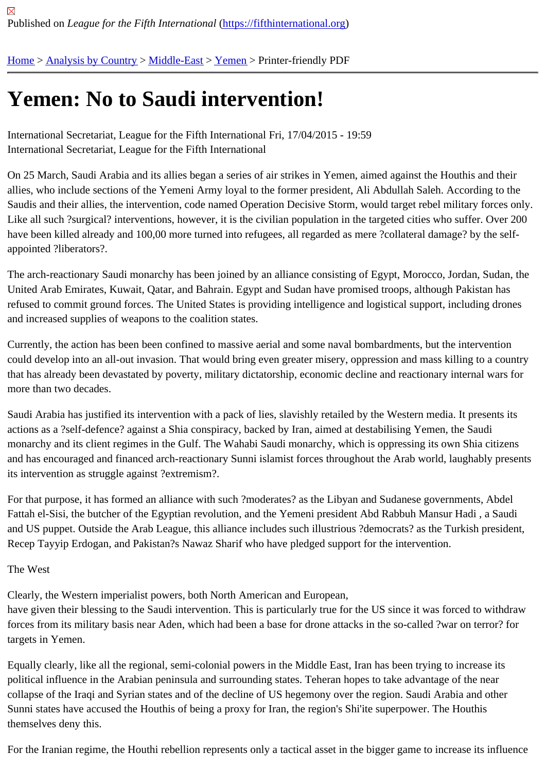# [Ye](https://fifthinternational.org/)[men: No to](https://fifthinternational.org/category/1) [Saudi](https://fifthinternational.org/category/1/178) [inter](https://fifthinternational.org/category/1/178/199)vention!

International Secretariat, League for the Fifth International Fri, 17/04/2015 - 19:59 International Secretariat, League for the Fifth International

On 25 March, Saudi Arabia and its allies began a series of air strikes in Yemen, aimed against the Houthis and the allies, who include sections of the Yemeni Army loyal to the former president, Ali Abdullah Saleh. According to the Saudis and their allies, the intervention, code named Operation Decisive Storm, would target rebel military forces o Like all such ?surgical? interventions, however, it is the civilian population in the targeted cities who suffer. Over 2 have been killed already and 100,00 more turned into refugees, all regarded as mere ?collateral damage? by the s appointed ?liberators?.

The arch-reactionary Saudi monarchy has been joined by an alliance consisting of Egypt, Morocco, Jordan, Sudan, the United Arab Emirates, Kuwait, Qatar, and Bahrain. Egypt and Sudan have promised troops, although Pakistan has refused to commit ground forces. The United States is providing intelligence and logistical support, including drone and increased supplies of weapons to the coalition states.

Currently, the action has been been confined to massive aerial and some naval bombardments, but the interventic could develop into an all-out invasion. That would bring even greater misery, oppression and mass killing to a count that has already been devastated by poverty, military dictatorship, economic decline and reactionary internal wars more than two decades.

Saudi Arabia has justified its intervention with a pack of lies, slavishly retailed by the Western media. It presents its actions as a ?self-defence? against a Shia conspiracy, backed by Iran, aimed at destabilising Yemen, the Saudi monarchy and its client regimes in the Gulf. The Wahabi Saudi monarchy, which is oppressing its own Shia citizens and has encouraged and financed arch-reactionary Sunni islamist forces throughout the Arab world, laughably pre its intervention as struggle against ?extremism?.

For that purpose, it has formed an alliance with such ?moderates? as the Libyan and Sudanese governments, Abd Fattah el-Sisi, the butcher of the Egyptian revolution, and the Yemeni president Abd Rabbuh Mansur Hadi, a Saud and US puppet. Outside the Arab League, this alliance includes such illustrious ?democrats? as the Turkish presid Recep Tayyip Erdogan, and Pakistan?s Nawaz Sharif who have pledged support for the intervention.

#### The West

Clearly, the Western imperialist powers, both North American and European,

have given their blessing to the Saudi intervention. This is particularly true for the US since it was forced to withdra forces from its military basis near Aden, which had been a base for drone attacks in the so-called ?war on terror? f targets in Yemen.

Equally clearly, like all the regional, semi-colonial powers in the Middle East, Iran has been trying to increase its political influence in the Arabian peninsula and surrounding states. Teheran hopes to take advantage of the near collapse of the Iraqi and Syrian states and of the decline of US hegemony over the region. Saudi Arabia and other Sunni states have accused the Houthis of being a proxy for Iran, the region's Shi'ite superpower. The Houthis themselves deny this.

For the Iranian regime, the Houthi rebellion represents only a tactical asset in the bigger game to increase its influe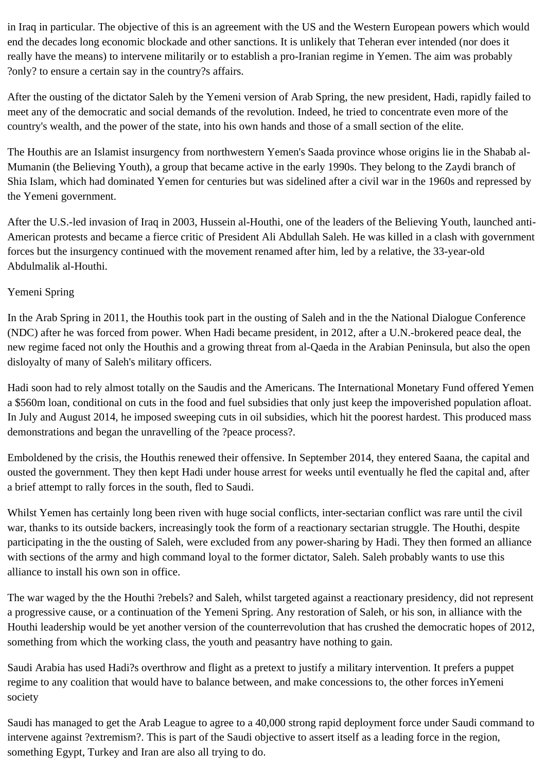in Iraq in particular. The objective of this is an agreement with the US and the Western European powers which would end the decades long economic blockade and other sanctions. It is unlikely that Teheran ever intended (nor does it really have the means) to intervene militarily or to establish a pro-Iranian regime in Yemen. The aim was probably ?only? to ensure a certain say in the country?s affairs.

After the ousting of the dictator Saleh by the Yemeni version of Arab Spring, the new president, Hadi, rapidly failed to meet any of the democratic and social demands of the revolution. Indeed, he tried to concentrate even more of the country's wealth, and the power of the state, into his own hands and those of a small section of the elite.

The Houthis are an Islamist insurgency from northwestern Yemen's Saada province whose origins lie in the Shabab al-Mumanin (the Believing Youth), a group that became active in the early 1990s. They belong to the Zaydi branch of Shia Islam, which had dominated Yemen for centuries but was sidelined after a civil war in the 1960s and repressed by the Yemeni government.

After the U.S.-led invasion of Iraq in 2003, Hussein al-Houthi, one of the leaders of the Believing Youth, launched anti-American protests and became a fierce critic of President Ali Abdullah Saleh. He was killed in a clash with government forces but the insurgency continued with the movement renamed after him, led by a relative, the 33-year-old Abdulmalik al-Houthi.

## Yemeni Spring

In the Arab Spring in 2011, the Houthis took part in the ousting of Saleh and in the the National Dialogue Conference (NDC) after he was forced from power. When Hadi became president, in 2012, after a U.N.-brokered peace deal, the new regime faced not only the Houthis and a growing threat from al-Qaeda in the Arabian Peninsula, but also the open disloyalty of many of Saleh's military officers.

Hadi soon had to rely almost totally on the Saudis and the Americans. The International Monetary Fund offered Yemen a \$560m loan, conditional on cuts in the food and fuel subsidies that only just keep the impoverished population afloat. In July and August 2014, he imposed sweeping cuts in oil subsidies, which hit the poorest hardest. This produced mass demonstrations and began the unravelling of the ?peace process?.

Emboldened by the crisis, the Houthis renewed their offensive. In September 2014, they entered Saana, the capital and ousted the government. They then kept Hadi under house arrest for weeks until eventually he fled the capital and, after a brief attempt to rally forces in the south, fled to Saudi.

Whilst Yemen has certainly long been riven with huge social conflicts, inter-sectarian conflict was rare until the civil war, thanks to its outside backers, increasingly took the form of a reactionary sectarian struggle. The Houthi, despite participating in the the ousting of Saleh, were excluded from any power-sharing by Hadi. They then formed an alliance with sections of the army and high command loyal to the former dictator, Saleh. Saleh probably wants to use this alliance to install his own son in office.

The war waged by the the Houthi ?rebels? and Saleh, whilst targeted against a reactionary presidency, did not represent a progressive cause, or a continuation of the Yemeni Spring. Any restoration of Saleh, or his son, in alliance with the Houthi leadership would be yet another version of the counterrevolution that has crushed the democratic hopes of 2012, something from which the working class, the youth and peasantry have nothing to gain.

Saudi Arabia has used Hadi?s overthrow and flight as a pretext to justify a military intervention. It prefers a puppet regime to any coalition that would have to balance between, and make concessions to, the other forces inYemeni society

Saudi has managed to get the Arab League to agree to a 40,000 strong rapid deployment force under Saudi command to intervene against ?extremism?. This is part of the Saudi objective to assert itself as a leading force in the region, something Egypt, Turkey and Iran are also all trying to do.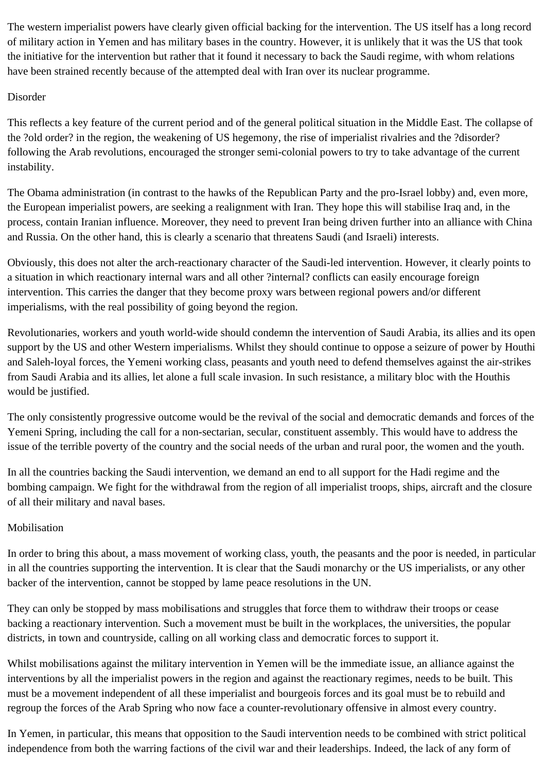The western imperialist powers have clearly given official backing for the intervention. The US itself has a long record of military action in Yemen and has military bases in the country. However, it is unlikely that it was the US that took the initiative for the intervention but rather that it found it necessary to back the Saudi regime, with whom relations have been strained recently because of the attempted deal with Iran over its nuclear programme.

#### Disorder

This reflects a key feature of the current period and of the general political situation in the Middle East. The collapse of the ?old order? in the region, the weakening of US hegemony, the rise of imperialist rivalries and the ?disorder? following the Arab revolutions, encouraged the stronger semi-colonial powers to try to take advantage of the current instability.

The Obama administration (in contrast to the hawks of the Republican Party and the pro-Israel lobby) and, even more, the European imperialist powers, are seeking a realignment with Iran. They hope this will stabilise Iraq and, in the process, contain Iranian influence. Moreover, they need to prevent Iran being driven further into an alliance with China and Russia. On the other hand, this is clearly a scenario that threatens Saudi (and Israeli) interests.

Obviously, this does not alter the arch-reactionary character of the Saudi-led intervention. However, it clearly points to a situation in which reactionary internal wars and all other ?internal? conflicts can easily encourage foreign intervention. This carries the danger that they become proxy wars between regional powers and/or different imperialisms, with the real possibility of going beyond the region.

Revolutionaries, workers and youth world-wide should condemn the intervention of Saudi Arabia, its allies and its open support by the US and other Western imperialisms. Whilst they should continue to oppose a seizure of power by Houthi and Saleh-loyal forces, the Yemeni working class, peasants and youth need to defend themselves against the air-strikes from Saudi Arabia and its allies, let alone a full scale invasion. In such resistance, a military bloc with the Houthis would be justified.

The only consistently progressive outcome would be the revival of the social and democratic demands and forces of the Yemeni Spring, including the call for a non-sectarian, secular, constituent assembly. This would have to address the issue of the terrible poverty of the country and the social needs of the urban and rural poor, the women and the youth.

In all the countries backing the Saudi intervention, we demand an end to all support for the Hadi regime and the bombing campaign. We fight for the withdrawal from the region of all imperialist troops, ships, aircraft and the closure of all their military and naval bases.

## Mobilisation

In order to bring this about, a mass movement of working class, youth, the peasants and the poor is needed, in particular in all the countries supporting the intervention. It is clear that the Saudi monarchy or the US imperialists, or any other backer of the intervention, cannot be stopped by lame peace resolutions in the UN.

They can only be stopped by mass mobilisations and struggles that force them to withdraw their troops or cease backing a reactionary intervention. Such a movement must be built in the workplaces, the universities, the popular districts, in town and countryside, calling on all working class and democratic forces to support it.

Whilst mobilisations against the military intervention in Yemen will be the immediate issue, an alliance against the interventions by all the imperialist powers in the region and against the reactionary regimes, needs to be built. This must be a movement independent of all these imperialist and bourgeois forces and its goal must be to rebuild and regroup the forces of the Arab Spring who now face a counter-revolutionary offensive in almost every country.

In Yemen, in particular, this means that opposition to the Saudi intervention needs to be combined with strict political independence from both the warring factions of the civil war and their leaderships. Indeed, the lack of any form of